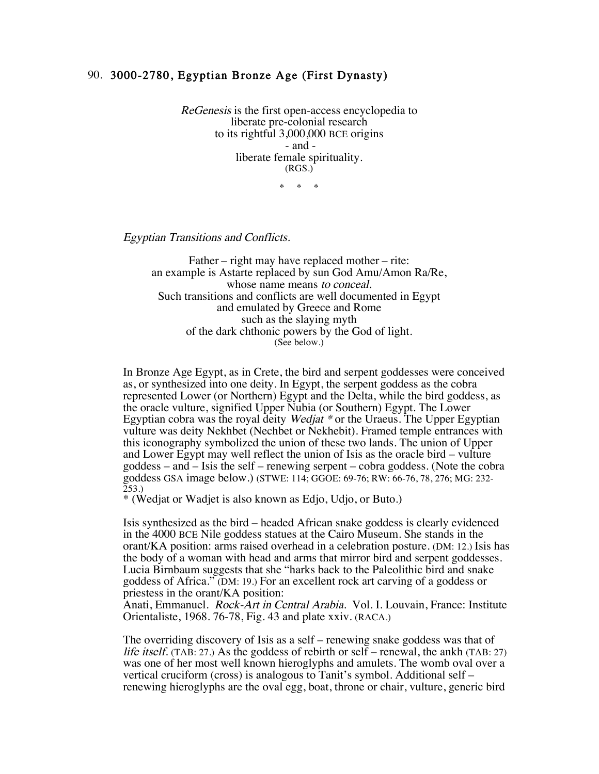## 90. 3000-2780, Egyptian Bronze Age (First Dynasty)

ReGenesis is the first open-access encyclopedia to liberate pre-colonial research to its rightful 3,000,000 BCE origins - and liberate female spirituality. (RGS.)

\* \* \*

Egyptian Transitions and Conflicts.

Father – right may have replaced mother – rite: an example is Astarte replaced by sun God Amu/Amon Ra/Re, whose name means to conceal. Such transitions and conflicts are well documented in Egypt and emulated by Greece and Rome such as the slaying myth of the dark chthonic powers by the God of light. (See below.)

In Bronze Age Egypt, as in Crete, the bird and serpent goddesses were conceived as, or synthesized into one deity. In Egypt, the serpent goddess as the cobra represented Lower (or Northern) Egypt and the Delta, while the bird goddess, as the oracle vulture, signified Upper Nubia (or Southern) Egypt. The Lower Egyptian cobra was the royal deity Wedjat \* or the Uraeus. The Upper Egyptian vulture was deity Nekhbet (Nechbet or Nekhebit). Framed temple entrances with this iconography symbolized the union of these two lands. The union of Upper and Lower Egypt may well reflect the union of Isis as the oracle bird – vulture goddess – and – Isis the self – renewing serpent – cobra goddess. (Note the cobra goddess GSA image below.) (STWE: 114; GGOE: 69-76; RW: 66-76, 78, 276; MG: 232-  $253.$ 

\* (Wedjat or Wadjet is also known as Edjo, Udjo, or Buto.)

Isis synthesized as the bird – headed African snake goddess is clearly evidenced in the 4000 BCE Nile goddess statues at the Cairo Museum. She stands in the orant/KA position: arms raised overhead in a celebration posture. (DM: 12.) Isis has the body of a woman with head and arms that mirror bird and serpent goddesses. Lucia Birnbaum suggests that she "harks back to the Paleolithic bird and snake goddess of Africa." (DM: 19.) For an excellent rock art carving of a goddess or priestess in the orant/KA position:

Anati, Emmanuel. *Rock-Art in Central Arabia*. Vol. I. Louvain, France: Institute Orientaliste, 1968. 76-78, Fig. 43 and plate xxiv. (RACA.)

The overriding discovery of Isis as a self – renewing snake goddess was that of life itself. (TAB: 27.) As the goddess of rebirth or self – renewal, the ankh (TAB: 27) was one of her most well known hieroglyphs and amulets. The womb oval over a vertical cruciform (cross) is analogous to Tanit's symbol. Additional self – renewing hieroglyphs are the oval egg, boat, throne or chair, vulture, generic bird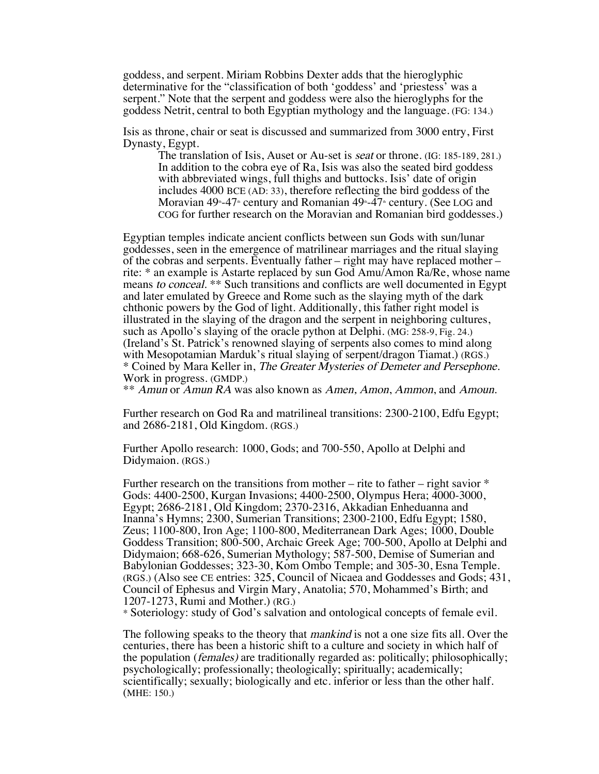goddess, and serpent. Miriam Robbins Dexter adds that the hieroglyphic determinative for the "classification of both 'goddess' and 'priestess' was a serpent." Note that the serpent and goddess were also the hieroglyphs for the goddess Netrit, central to both Egyptian mythology and the language. (FG: 134.)

Isis as throne, chair or seat is discussed and summarized from 3000 entry, First Dynasty, Egypt.

The translation of Isis, Auset or Au-set is seat or throne. (IG: 185-189, 281.) In addition to the cobra eye of Ra, Isis was also the seated bird goddess with abbreviated wings, full thighs and buttocks. Isis' date of origin includes 4000 BCE (AD: 33), therefore reflecting the bird goddess of the Moravian 49<sup>th</sup>-47<sup>th</sup> century and Romanian 49<sup>th</sup>-47<sup>th</sup> century. (See LOG and COG for further research on the Moravian and Romanian bird goddesses.)

Egyptian temples indicate ancient conflicts between sun Gods with sun/lunar goddesses, seen in the emergence of matrilinear marriages and the ritual slaying of the cobras and serpents. Eventually father – right may have replaced mother – rite: \* an example is Astarte replaced by sun God Amu/Amon Ra/Re, whose name means to conceal. \*\* Such transitions and conflicts are well documented in Egypt and later emulated by Greece and Rome such as the slaying myth of the dark chthonic powers by the God of light. Additionally, this father right model is illustrated in the slaying of the dragon and the serpent in neighboring cultures, such as Apollo's slaying of the oracle python at Delphi. (MG: 258-9, Fig. 24.) (Ireland's St. Patrick's renowned slaying of serpents also comes to mind along with Mesopotamian Marduk's ritual slaying of serpent/dragon Tiamat.) (RGS.) \* Coined by Mara Keller in, The Greater Mysteries of Demeter and Persephone. Work in progress. (GMDP.)

\*\* Amun or Amun RA was also known as Amen, Amon, Ammon, and Amoun.

Further research on God Ra and matrilineal transitions: 2300-2100, Edfu Egypt; and 2686-2181, Old Kingdom. (RGS.)

Further Apollo research: 1000, Gods; and 700-550, Apollo at Delphi and Didymaion. (RGS.)

Further research on the transitions from mother – rite to father – right savior  $*$ Gods: 4400-2500, Kurgan Invasions; 4400-2500, Olympus Hera; 4000-3000, Egypt; 2686-2181, Old Kingdom; 2370-2316, Akkadian Enheduanna and Inanna's Hymns; 2300, Sumerian Transitions; 2300-2100, Edfu Egypt; 1580, Zeus; 1100-800, Iron Age; 1100-800, Mediterranean Dark Ages; 1000, Double Goddess Transition; 800-500, Archaic Greek Age; 700-500, Apollo at Delphi and Didymaion; 668-626, Sumerian Mythology; 587-500, Demise of Sumerian and Babylonian Goddesses; 323-30, Kom Ombo Temple; and 305-30, Esna Temple. (RGS.) (Also see CE entries: 325, Council of Nicaea and Goddesses and Gods; 431, Council of Ephesus and Virgin Mary, Anatolia; 570, Mohammed's Birth; and 1207-1273, Rumi and Mother.) (RG.)

\* Soteriology: study of God's salvation and ontological concepts of female evil.

The following speaks to the theory that mankind is not a one size fits all. Over the centuries, there has been a historic shift to a culture and society in which half of the population (females) are traditionally regarded as: politically; philosophically; psychologically; professionally; theologically; spiritually; academically; scientifically; sexually; biologically and etc. inferior or less than the other half. (MHE: 150.)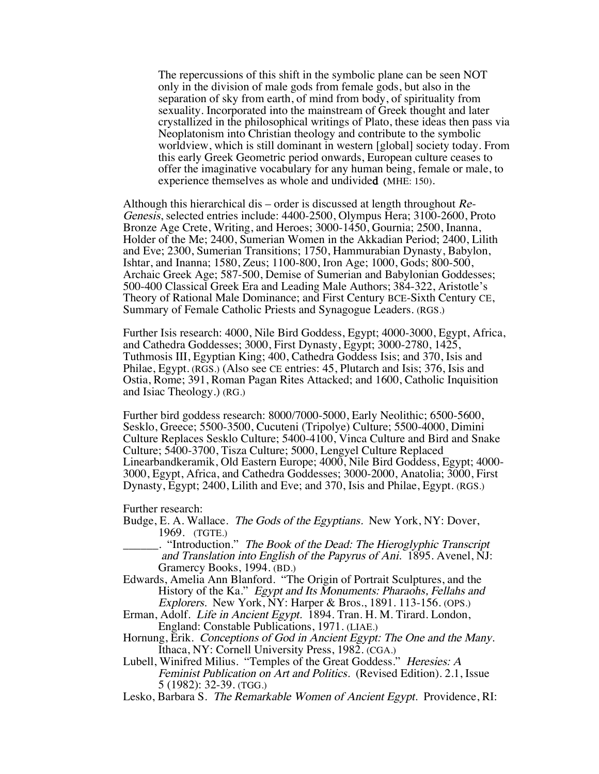The repercussions of this shift in the symbolic plane can be seen NOT only in the division of male gods from female gods, but also in the separation of sky from earth, of mind from body, of spirituality from sexuality. Incorporated into the mainstream of Greek thought and later crystallized in the philosophical writings of Plato, these ideas then pass via Neoplatonism into Christian theology and contribute to the symbolic worldview, which is still dominant in western [global] society today. From this early Greek Geometric period onwards, European culture ceases to offer the imaginative vocabulary for any human being, female or male, to experience themselves as whole and undivided (MHE: 150).

Although this hierarchical dis – order is discussed at length throughout  $Re$ -Genesis, selected entries include: 4400-2500, Olympus Hera; 3100-2600, Proto Bronze Age Crete, Writing, and Heroes; 3000-1450, Gournia; 2500, Inanna, Holder of the Me; 2400, Sumerian Women in the Akkadian Period; 2400, Lilith and Eve; 2300, Sumerian Transitions; 1750, Hammurabian Dynasty, Babylon, Ishtar, and Inanna; 1580, Zeus; 1100-800, Iron Age; 1000, Gods; 800-500, Archaic Greek Age; 587-500, Demise of Sumerian and Babylonian Goddesses; 500-400 Classical Greek Era and Leading Male Authors; 384-322, Aristotle's Theory of Rational Male Dominance; and First Century BCE-Sixth Century CE, Summary of Female Catholic Priests and Synagogue Leaders. (RGS.)

Further Isis research: 4000, Nile Bird Goddess, Egypt; 4000-3000, Egypt, Africa, and Cathedra Goddesses; 3000, First Dynasty, Egypt; 3000-2780, 1425, Tuthmosis III, Egyptian King; 400, Cathedra Goddess Isis; and 370, Isis and Philae, Egypt. (RGS.) (Also see CE entries: 45, Plutarch and Isis; 376, Isis and Ostia, Rome; 391, Roman Pagan Rites Attacked; and 1600, Catholic Inquisition and Isiac Theology.) (RG.)

Further bird goddess research: 8000/7000-5000, Early Neolithic; 6500-5600, Sesklo, Greece; 5500-3500, Cucuteni (Tripolye) Culture; 5500-4000, Dimini Culture Replaces Sesklo Culture; 5400-4100, Vinca Culture and Bird and Snake Culture; 5400-3700, Tisza Culture; 5000, Lengyel Culture Replaced Linearbandkeramik, Old Eastern Europe; 4000, Nile Bird Goddess, Egypt; 4000- 3000, Egypt, Africa, and Cathedra Goddesses; 3000-2000, Anatolia; 3000, First Dynasty, Egypt; 2400, Lilith and Eve; and 370, Isis and Philae, Egypt. (RGS.)

Further research:

- Budge, E. A. Wallace. *The Gods of the Egyptians*. New York, NY: Dover, 1969. (TGTE.)
- \_\_\_\_\_\_. "Introduction." The Book of the Dead: The Hieroglyphic Transcript and Translation into English of the Papyrus of Ani. 1895. Avenel, NJ: Gramercy Books, 1994. (BD.)
- Edwards, Amelia Ann Blanford. "The Origin of Portrait Sculptures, and the History of the Ka." Egypt and Its Monuments: Pharaohs, Fellahs and Explorers. New York, NY: Harper & Bros., 1891. 113-156. (OPS.)
- Erman, Adolf. Life in Ancient Egypt. 1894. Tran. H. M. Tirard. London, England: Constable Publications, 1971. (LIAE.)
- Hornung, Erik. Conceptions of God in Ancient Egypt: The One and the Many.<br>Ithaca, NY: Cornell University Press, 1982. (CGA.)
- Lubell, Winifred Milius. "Temples of the Great Goddess." Heresies: A Feminist Publication on Art and Politics. (Revised Edition). 2.1, Issue 5 (1982): 32-39. (TGG.)
- Lesko, Barbara S. The Remarkable Women of Ancient Egypt. Providence, RI: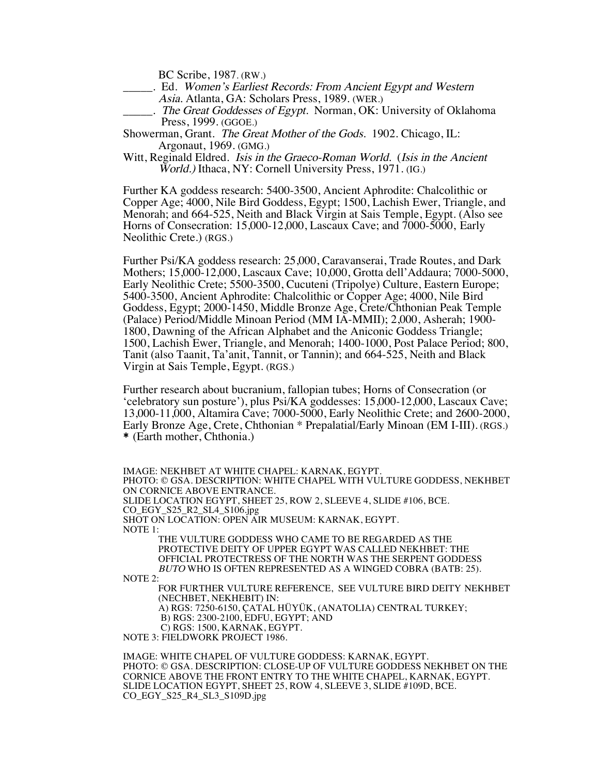BC Scribe, 1987. (RW.)

- . Ed. Women's Earliest Records: From Ancient Egypt and Western Asia. Atlanta, GA: Scholars Press, 1989. (WER.)
- ... The Great Goddesses of Egypt. Norman, OK: University of Oklahoma Press, 1999. (GGOE.)

Showerman, Grant. The Great Mother of the Gods. 1902. Chicago, IL: Argonaut, 1969. (GMG.)

Witt, Reginald Eldred. *Isis in the Graeco-Roman World.* (*Isis in the Ancient* World.) Ithaca, NY: Cornell University Press, 1971. (IG.)

Further KA goddess research: 5400-3500, Ancient Aphrodite: Chalcolithic or Copper Age; 4000, Nile Bird Goddess, Egypt; 1500, Lachish Ewer, Triangle, and Menorah; and 664-525, Neith and Black Virgin at Sais Temple, Egypt. (Also see Horns of Consecration: 15,000-12,000, Lascaux Cave; and 7000-5000, Early Neolithic Crete.) (RGS.)

Further Psi/KA goddess research: 25,000, Caravanserai, Trade Routes, and Dark Mothers; 15,000-12,000, Lascaux Cave; 10,000, Grotta dell'Addaura; 7000-5000, Early Neolithic Crete; 5500-3500, Cucuteni (Tripolye) Culture, Eastern Europe; 5400-3500, Ancient Aphrodite: Chalcolithic or Copper Age; 4000, Nile Bird Goddess, Egypt; 2000-1450, Middle Bronze Age, Crete/Chthonian Peak Temple (Palace) Period/Middle Minoan Period (MM IA-MMII); 2,000, Asherah; 1900- 1800, Dawning of the African Alphabet and the Aniconic Goddess Triangle; 1500, Lachish Ewer, Triangle, and Menorah; 1400-1000, Post Palace Period; 800, Tanit (also Taanit, Ta'anit, Tannit, or Tannin); and 664-525, Neith and Black Virgin at Sais Temple, Egypt. (RGS.)

Further research about bucranium, fallopian tubes; Horns of Consecration (or 'celebratory sun posture'), plus Psi/KA goddesses: 15,000-12,000, Lascaux Cave; 13,000-11,000, Altamira Cave; 7000-5000, Early Neolithic Crete; and 2600-2000, Early Bronze Age, Crete, Chthonian \* Prepalatial/Early Minoan (EM I-III). (RGS.) \* (Earth mother, Chthonia.)

IMAGE: NEKHBET AT WHITE CHAPEL: KARNAK, EGYPT. PHOTO: © GSA. DESCRIPTION: WHITE CHAPEL WITH VULTURE GODDESS, NEKHBET ON CORNICE ABOVE ENTRANCE. SLIDE LOCATION EGYPT, SHEET 25, ROW 2, SLEEVE 4, SLIDE #106, BCE. CO\_EGY\_S25\_R2\_SL4\_S106.jpg SHOT ON LOCATION: OPEN AIR MUSEUM: KARNAK, EGYPT. NOTE 1: THE VULTURE GODDESS WHO CAME TO BE REGARDED AS THE PROTECTIVE DEITY OF UPPER EGYPT WAS CALLED NEKHBET: THE OFFICIAL PROTECTRESS OF THE NORTH WAS THE SERPENT GODDESS BUTO WHO IS OFTEN REPRESENTED AS A WINGED COBRA (BATB: 25). NOTE 2: FOR FURTHER VULTURE REFERENCE, SEE VULTURE BIRD DEITY NEKHBET (NECHBET, NEKHEBIT) IN: A) RGS: 7250-6150, ÇATAL HÜYÜK, (ANATOLIA) CENTRAL TURKEY; B) RGS: 2300-2100, EDFU, EGYPT; AND C) RGS: 1500, KARNAK, EGYPT. NOTE 3: FIELDWORK PROJECT 1986.

IMAGE: WHITE CHAPEL OF VULTURE GODDESS: KARNAK, EGYPT. PHOTO: © GSA. DESCRIPTION: CLOSE-UP OF VULTURE GODDESS NEKHBET ON THE CORNICE ABOVE THE FRONT ENTRY TO THE WHITE CHAPEL, KARNAK, EGYPT. SLIDE LOCATION EGYPT, SHEET 25, ROW 4, SLEEVE 3, SLIDE #109D, BCE. CO\_EGY\_S25\_R4\_SL3\_S109D.jpg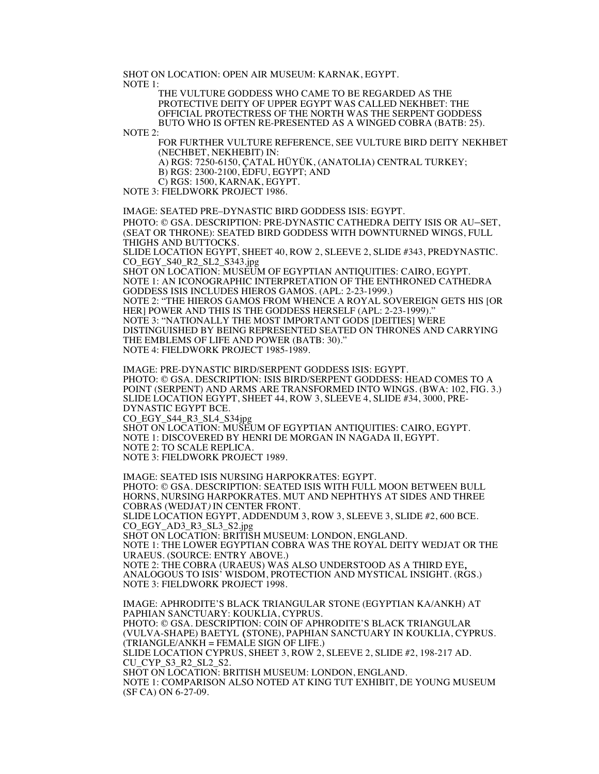SHOT ON LOCATION: OPEN AIR MUSEUM: KARNAK, EGYPT. NOTE 1:

THE VULTURE GODDESS WHO CAME TO BE REGARDED AS THE PROTECTIVE DEITY OF UPPER EGYPT WAS CALLED NEKHBET: THE OFFICIAL PROTECTRESS OF THE NORTH WAS THE SERPENT GODDESS BUTO WHO IS OFTEN RE-PRESENTED AS A WINGED COBRA (BATB: 25).

NOTE 2:

FOR FURTHER VULTURE REFERENCE, SEE VULTURE BIRD DEITY NEKHBET (NECHBET, NEKHEBIT) IN:

A) RGS: 7250-6150, ÇATAL HÜYÜK, (ANATOLIA) CENTRAL TURKEY;

B) RGS: 2300-2100, EDFU, EGYPT; AND

C) RGS: 1500, KARNAK, EGYPT.

NOTE 3: FIELDWORK PROJECT 1986.

IMAGE: SEATED PRE–DYNASTIC BIRD GODDESS ISIS: EGYPT.

PHOTO: © GSA. DESCRIPTION: PRE-DYNASTIC CATHEDRA DEITY ISIS OR AU–SET, (SEAT OR THRONE): SEATED BIRD GODDESS WITH DOWNTURNED WINGS, FULL THIGHS AND BUTTOCKS.

SLIDE LOCATION EGYPT, SHEET 40, ROW 2, SLEEVE 2, SLIDE #343, PREDYNASTIC. CO\_EGY\_S40\_R2\_SL2\_S343.jpg

SHOT ON LOCATION: MUSEUM OF EGYPTIAN ANTIQUITIES: CAIRO, EGYPT. NOTE 1: AN ICONOGRAPHIC INTERPRETATION OF THE ENTHRONED CATHEDRA GODDESS ISIS INCLUDES HIEROS GAMOS. (APL: 2-23-1999.) NOTE 2: "THE HIEROS GAMOS FROM WHENCE A ROYAL SOVEREIGN GETS HIS [OR HER] POWER AND THIS IS THE GODDESS HERSELF (APL: 2-23-1999)." NOTE 3: "NATIONALLY THE MOST IMPORTANT GODS [DEITIES] WERE DISTINGUISHED BY BEING REPRESENTED SEATED ON THRONES AND CARRYING THE EMBLEMS OF LIFE AND POWER (BATB: 30)." NOTE 4: FIELDWORK PROJECT 1985-1989.

IMAGE: PRE-DYNASTIC BIRD/SERPENT GODDESS ISIS: EGYPT. PHOTO: © GSA. DESCRIPTION: ISIS BIRD/SERPENT GODDESS: HEAD COMES TO A POINT (SERPENT) AND ARMS ARE TRANSFORMED INTO WINGS. (BWA: 102, FIG. 3.) SLIDE LOCATION EGYPT, SHEET 44, ROW 3, SLEEVE 4, SLIDE #34, 3000, PRE-DYNASTIC EGYPT BCE. CO\_EGY\_S44\_R3\_SL4\_S34jpg SHOT ON LOCATION: MUSEUM OF EGYPTIAN ANTIQUITIES: CAIRO, EGYPT. NOTE 1: DISCOVERED BY HENRI DE MORGAN IN NAGADA II, EGYPT. NOTE 2: TO SCALE REPLICA.

NOTE 3: FIELDWORK PROJECT 1989.

IMAGE: SEATED ISIS NURSING HARPOKRATES: EGYPT. PHOTO: © GSA. DESCRIPTION: SEATED ISIS WITH FULL MOON BETWEEN BULL HORNS, NURSING HARPOKRATES. MUT AND NEPHTHYS AT SIDES AND THREE COBRAS (WEDJAT) IN CENTER FRONT. SLIDE LOCATION EGYPT, ADDENDUM 3, ROW 3, SLEEVE 3, SLIDE #2, 600 BCE. CO\_EGY\_AD3\_R3\_SL3\_S2.jpg SHOT ON LOCATION: BRITISH MUSEUM: LONDON, ENGLAND. NOTE 1: THE LOWER EGYPTIAN COBRA WAS THE ROYAL DEITY WEDJAT OR THE URAEUS. (SOURCE: ENTRY ABOVE.) NOTE 2: THE COBRA (URAEUS) WAS ALSO UNDERSTOOD AS A THIRD EYE, ANALOGOUS TO ISIS' WISDOM, PROTECTION AND MYSTICAL INSIGHT. (RGS.) NOTE 3: FIELDWORK PROJECT 1998.

IMAGE: APHRODITE'S BLACK TRIANGULAR STONE (EGYPTIAN KA/ANKH) AT PAPHIAN SANCTUARY: KOUKLIA, CYPRUS. PHOTO: © GSA. DESCRIPTION: COIN OF APHRODITE'S BLACK TRIANGULAR (VULVA-SHAPE) BAETYL (STONE), PAPHIAN SANCTUARY IN KOUKLIA, CYPRUS. (TRIANGLE/ANKH = FEMALE SIGN OF LIFE.) SLIDE LOCATION CYPRUS, SHEET 3, ROW 2, SLEEVE 2, SLIDE #2, 198-217 AD. CU\_CYP\_S3\_R2\_SL2\_S2. SHOT ON LOCATION: BRITISH MUSEUM: LONDON, ENGLAND. NOTE 1: COMPARISON ALSO NOTED AT KING TUT EXHIBIT, DE YOUNG MUSEUM (SF CA) ON 6-27-09.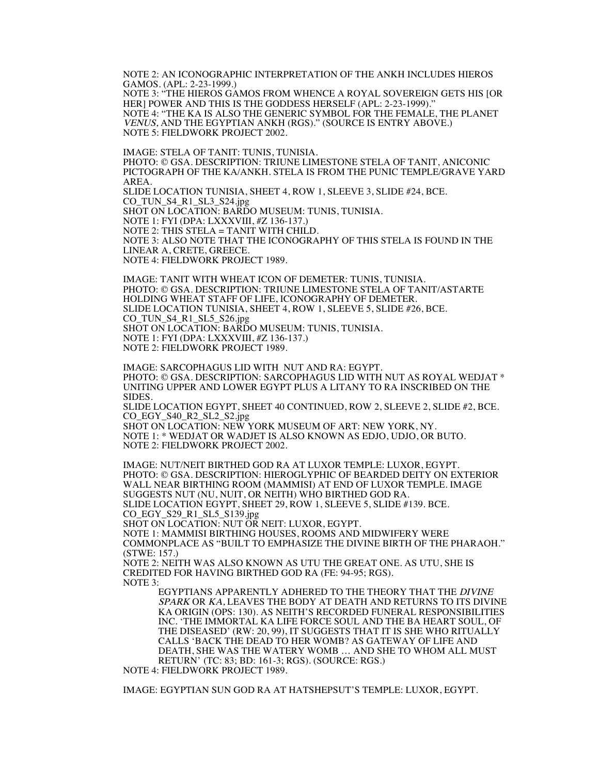NOTE 2: AN ICONOGRAPHIC INTERPRETATION OF THE ANKH INCLUDES HIEROS GAMOS. (APL: 2-23-1999.) NOTE 3: "THE HIEROS GAMOS FROM WHENCE A ROYAL SOVEREIGN GETS HIS [OR HER] POWER AND THIS IS THE GODDESS HERSELF (APL: 2-23-1999)." NOTE 4: "THE KA IS ALSO THE GENERIC SYMBOL FOR THE FEMALE, THE PLANET VENUS, AND THE EGYPTIAN ANKH (RGS)." (SOURCE IS ENTRY ABOVE.) NOTE 5: FIELDWORK PROJECT 2002.

IMAGE: STELA OF TANIT: TUNIS, TUNISIA. PHOTO: © GSA. DESCRIPTION: TRIUNE LIMESTONE STELA OF TANIT, ANICONIC PICTOGRAPH OF THE KA/ANKH. STELA IS FROM THE PUNIC TEMPLE/GRAVE YARD AREA. SLIDE LOCATION TUNISIA, SHEET 4, ROW 1, SLEEVE 3, SLIDE #24, BCE. CO\_TUN\_S4\_R1\_SL3\_S24.jpg SHOT ON LOCATION: BARDO MUSEUM: TUNIS, TUNISIA. NOTE 1: FYI (DPA: LXXXVIII, #Z 136-137.) NOTE 2: THIS STELA = TANIT WITH CHILD. NOTE 3: ALSO NOTE THAT THE ICONOGRAPHY OF THIS STELA IS FOUND IN THE LINEAR A, CRETE, GREECE. NOTE 4: FIELDWORK PROJECT 1989.

IMAGE: TANIT WITH WHEAT ICON OF DEMETER: TUNIS, TUNISIA. PHOTO: © GSA. DESCRIPTION: TRIUNE LIMESTONE STELA OF TANIT/ASTARTE HOLDING WHEAT STAFF OF LIFE, ICONOGRAPHY OF DEMETER. SLIDE LOCATION TUNISIA, SHEET 4, ROW 1, SLEEVE 5, SLIDE #26, BCE. CO\_TUN\_S4\_R1\_SL5\_S26.jpg SHOT ON LOCATION: BARDO MUSEUM: TUNIS, TUNISIA. NOTE 1: FYI (DPA: LXXXVIII, #Z 136-137.) NOTE 2: FIELDWORK PROJECT 1989.

IMAGE: SARCOPHAGUS LID WITH NUT AND RA: EGYPT. PHOTO: © GSA. DESCRIPTION: SARCOPHAGUS LID WITH NUT AS ROYAL WEDJAT \* UNITING UPPER AND LOWER EGYPT PLUS A LITANY TO RA INSCRIBED ON THE SIDES.

SLIDE LOCATION EGYPT, SHEET 40 CONTINUED, ROW 2, SLEEVE 2, SLIDE #2, BCE. CO\_EGY\_S40\_R2\_SL2\_S2.jpg

SHOT ON LOCATION: NEW YORK MUSEUM OF ART: NEW YORK, NY. NOTE 1: \* WEDJAT OR WADJET IS ALSO KNOWN AS EDJO, UDJO, OR BUTO. NOTE 2: FIELDWORK PROJECT 2002.

IMAGE: NUT/NEIT BIRTHED GOD RA AT LUXOR TEMPLE: LUXOR, EGYPT. PHOTO: © GSA. DESCRIPTION: HIEROGLYPHIC OF BEARDED DEITY ON EXTERIOR WALL NEAR BIRTHING ROOM (MAMMISI) AT END OF LUXOR TEMPLE. IMAGE SUGGESTS NUT (NU, NUIT, OR NEITH) WHO BIRTHED GOD RA. SLIDE LOCATION EGYPT, SHEET 29, ROW 1, SLEEVE 5, SLIDE #139. BCE. CO\_EGY\_S29\_R1\_SL5\_S139.jpg

SHOT ON LOCATION: NUT OR NEIT: LUXOR, EGYPT.

NOTE 1: MAMMISI BIRTHING HOUSES, ROOMS AND MIDWIFERY WERE COMMONPLACE AS "BUILT TO EMPHASIZE THE DIVINE BIRTH OF THE PHARAOH." (STWE: 157.)

NOTE 2: NEITH WAS ALSO KNOWN AS UTU THE GREAT ONE. AS UTU, SHE IS CREDITED FOR HAVING BIRTHED GOD RA (FE: 94-95; RGS). NOTE 3:

EGYPTIANS APPARENTLY ADHERED TO THE THEORY THAT THE DIVINE SPARK OR KA, LEAVES THE BODY AT DEATH AND RETURNS TO ITS DIVINE KA ORIGIN (OPS: 130). AS NEITH'S RECORDED FUNERAL RESPONSIBILITIES INC. 'THE IMMORTAL KA LIFE FORCE SOUL AND THE BA HEART SOUL, OF THE DISEASED' (RW: 20, 99), IT SUGGESTS THAT IT IS SHE WHO RITUALLY CALLS 'BACK THE DEAD TO HER WOMB? AS GATEWAY OF LIFE AND DEATH, SHE WAS THE WATERY WOMB … AND SHE TO WHOM ALL MUST RETURN' (TC: 83; BD: 161-3; RGS). (SOURCE: RGS.)

NOTE 4: FIELDWORK PROJECT 1989.

IMAGE: EGYPTIAN SUN GOD RA AT HATSHEPSUT'S TEMPLE: LUXOR, EGYPT.